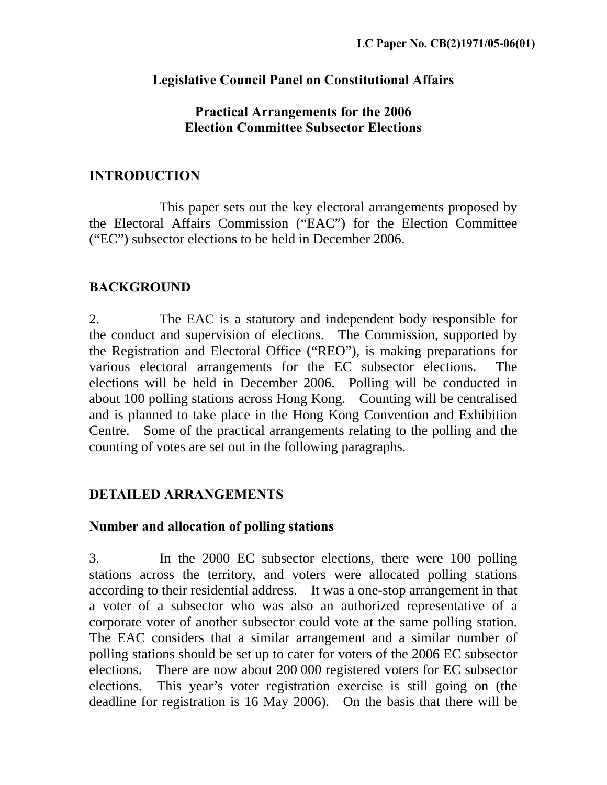### **Legislative Council Panel on Constitutional Affairs**

### **Practical Arrangements for the 2006 Election Committee Subsector Elections**

### **INTRODUCTION**

 This paper sets out the key electoral arrangements proposed by the Electoral Affairs Commission ("EAC") for the Election Committee ("EC") subsector elections to be held in December 2006.

# **BACKGROUND**

2. The EAC is a statutory and independent body responsible for the conduct and supervision of elections. The Commission, supported by the Registration and Electoral Office ("REO"), is making preparations for various electoral arrangements for the EC subsector elections. The elections will be held in December 2006. Polling will be conducted in about 100 polling stations across Hong Kong. Counting will be centralised and is planned to take place in the Hong Kong Convention and Exhibition Centre. Some of the practical arrangements relating to the polling and the counting of votes are set out in the following paragraphs.

# **DETAILED ARRANGEMENTS**

#### **Number and allocation of polling stations**

3. In the 2000 EC subsector elections, there were 100 polling stations across the territory, and voters were allocated polling stations according to their residential address. It was a one-stop arrangement in that a voter of a subsector who was also an authorized representative of a corporate voter of another subsector could vote at the same polling station. The EAC considers that a similar arrangement and a similar number of polling stations should be set up to cater for voters of the 2006 EC subsector elections. There are now about 200 000 registered voters for EC subsector elections. This year's voter registration exercise is still going on (the deadline for registration is 16 May 2006). On the basis that there will be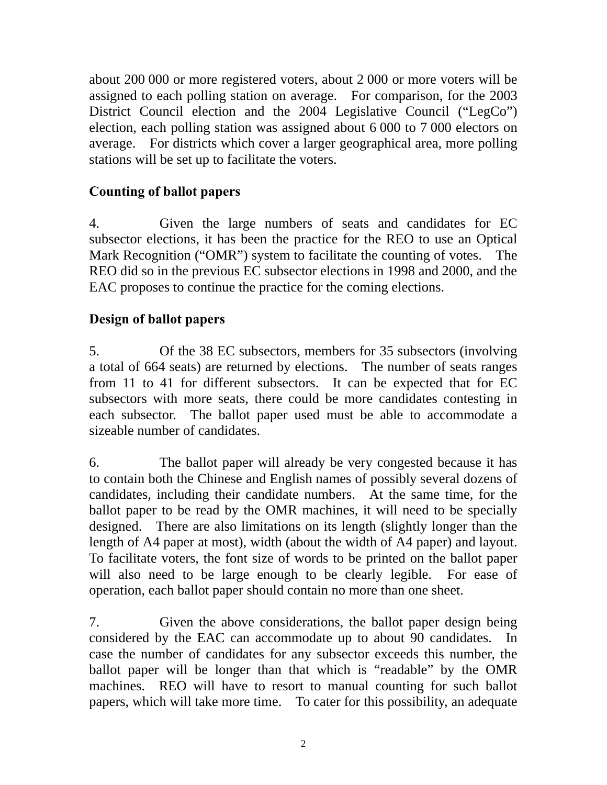about 200 000 or more registered voters, about 2 000 or more voters will be assigned to each polling station on average. For comparison, for the 2003 District Council election and the 2004 Legislative Council ("LegCo") election, each polling station was assigned about 6 000 to 7 000 electors on average. For districts which cover a larger geographical area, more polling stations will be set up to facilitate the voters.

# **Counting of ballot papers**

4. Given the large numbers of seats and candidates for EC subsector elections, it has been the practice for the REO to use an Optical Mark Recognition ("OMR") system to facilitate the counting of votes. The REO did so in the previous EC subsector elections in 1998 and 2000, and the EAC proposes to continue the practice for the coming elections.

# **Design of ballot papers**

5. Of the 38 EC subsectors, members for 35 subsectors (involving a total of 664 seats) are returned by elections. The number of seats ranges from 11 to 41 for different subsectors. It can be expected that for EC subsectors with more seats, there could be more candidates contesting in each subsector. The ballot paper used must be able to accommodate a sizeable number of candidates.

6. The ballot paper will already be very congested because it has to contain both the Chinese and English names of possibly several dozens of candidates, including their candidate numbers. At the same time, for the ballot paper to be read by the OMR machines, it will need to be specially designed. There are also limitations on its length (slightly longer than the length of A4 paper at most), width (about the width of A4 paper) and layout. To facilitate voters, the font size of words to be printed on the ballot paper will also need to be large enough to be clearly legible. For ease of operation, each ballot paper should contain no more than one sheet.

7. Given the above considerations, the ballot paper design being considered by the EAC can accommodate up to about 90 candidates. In case the number of candidates for any subsector exceeds this number, the ballot paper will be longer than that which is "readable" by the OMR machines. REO will have to resort to manual counting for such ballot papers, which will take more time. To cater for this possibility, an adequate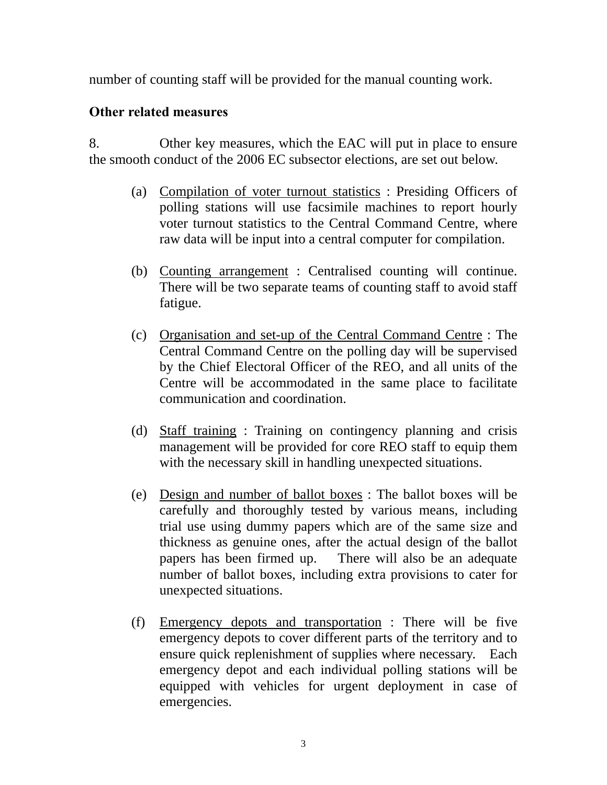number of counting staff will be provided for the manual counting work.

### **Other related measures**

8. Other key measures, which the EAC will put in place to ensure the smooth conduct of the 2006 EC subsector elections, are set out below.

- (a) Compilation of voter turnout statistics : Presiding Officers of polling stations will use facsimile machines to report hourly voter turnout statistics to the Central Command Centre, where raw data will be input into a central computer for compilation.
- (b) Counting arrangement : Centralised counting will continue. There will be two separate teams of counting staff to avoid staff fatigue.
- (c) Organisation and set-up of the Central Command Centre : The Central Command Centre on the polling day will be supervised by the Chief Electoral Officer of the REO, and all units of the Centre will be accommodated in the same place to facilitate communication and coordination.
- (d) Staff training : Training on contingency planning and crisis management will be provided for core REO staff to equip them with the necessary skill in handling unexpected situations.
- (e) Design and number of ballot boxes : The ballot boxes will be carefully and thoroughly tested by various means, including trial use using dummy papers which are of the same size and thickness as genuine ones, after the actual design of the ballot papers has been firmed up. There will also be an adequate number of ballot boxes, including extra provisions to cater for unexpected situations.
- (f) Emergency depots and transportation : There will be five emergency depots to cover different parts of the territory and to ensure quick replenishment of supplies where necessary. Each emergency depot and each individual polling stations will be equipped with vehicles for urgent deployment in case of emergencies.